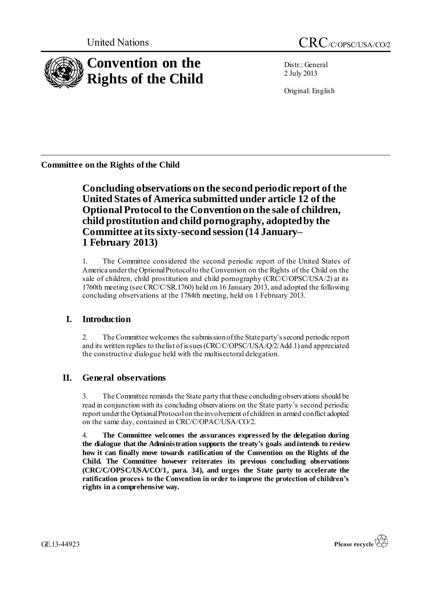

Distr.: General 2 July 2013

Original: English

**Committee on the Rights of the Child**

**Concluding observations on the second periodic report of the United States of America submitted under article 12 of the Optional Protocol to the Convention on the sale of children, child prostitution and child pornography, adopted by the Committee at its sixty-second session (14 January– 1 February 2013)**

1. The Committee considered the second periodic report of the United States of America under the Optional Protocol to the Convention on the Rights of the Child on the sale of children, child prostitution and child pornography (CRC/C/OPSC/USA/2) at its 1760th meeting (see CRC/C/SR.1760) held on 16 January 2013, and adopted the following concluding observations at the 1784th meeting, held on 1 February 2013.

# **I. Introduction**

2. The Committee welcomes the submission of the State party's second periodic report and its written replies to the list of issues (CRC/C/OPSC/USA/Q/2/Add.1) and appreciated the constructive dialogue held with the multisectoral delegation.

# **II. General observations**

3. The Committee reminds the State party that these concluding observations should be read in conjunction with its concluding observations on the State party's second periodic report under the Optional Protocol on the involvement of children in armed conflict adopted on the same day, contained in CRC/C/OPAC/USA/CO/2.

4. **The Committee welcomes the assurances expressed by the delegation during the dialogue that the Administration supports the treaty's goals and intends to review how it can finally move towards ratification of the Convention on the Rights of the Child. The Committee however reiterates its previous concluding observations (CRC/C/OPSC/USA/CO/1, para. 34), and urges the State party to accelerate the ratification process to the Convention in order to improve the protection of children's rights in a comprehensive way.**

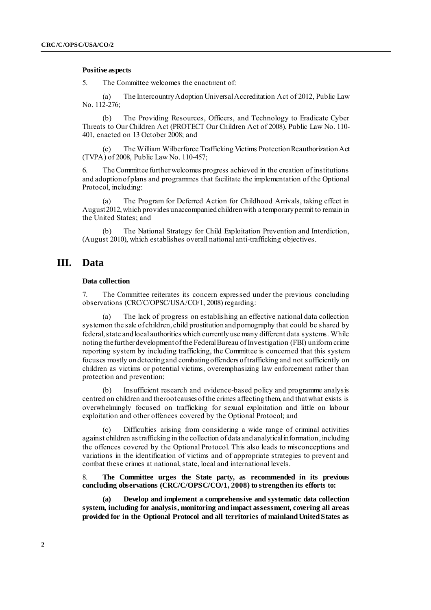#### **Positive aspects**

5. The Committee welcomes the enactment of:

(a) The Intercountry Adoption Universal Accreditation Act of 2012, Public Law No. 112-276;

(b) The Providing Resources, Officers, and Technology to Eradicate Cyber Threats to Our Children Act (PROTECT Our Children Act of 2008), Public Law No. 110- 401, enacted on 13 October 2008; and

(c) The William Wilberforce Trafficking Victims Protection Reauthorization Act (TVPA) of 2008, Public Law No. 110-457;

6. The Committee further welcomes progress achieved in the creation of institutions and adoption of plans and programmes that facilitate the implementation of the Optional Protocol, including:

(a) The Program for Deferred Action for Childhood Arrivals, taking effect in August 2012, which provides unaccompanied children with a temporary permit to remain in the United States; and

(b) The National Strategy for Child Exploitation Prevention and Interdiction, (August 2010), which establishes overall national anti-trafficking objectives.

# **III. Data**

# **Data collection**

7. The Committee reiterates its concern expressed under the previous concluding observations (CRC/C/OPSC/USA/CO/1, 2008) regarding:

(a) The lack of progress on establishing an effective national data collection system on the sale of children, child prostitution and pornography that could be shared by federal, state and local authorities which currently use many different data systems. While noting thefurther development of the Federal Bureau of Investigation (FBI) uniform crime reporting system by including trafficking, the Committee is concerned that this system focuses mostly on detecting and combating offenders of trafficking and not sufficiently on children as victims or potential victims, overemphasizing law enforcement rather than protection and prevention;

(b) Insufficient research and evidence-based policy and programme analysis centred on children and the root causes of the crimes affecting them, and that what exists is overwhelmingly focused on trafficking for sexual exploitation and little on labour exploitation and other offences covered by the Optional Protocol; and

Difficulties arising from considering a wide range of criminal activities against children as trafficking in the collection of data and analytical information, including the offences covered by the Optional Protocol. This also leads to misconceptions and variations in the identification of victims and of appropriate strategies to prevent and combat these crimes at national, state, local and international levels.

8. **The Committee urges the State party, as recommended in its previous concluding observations (CRC/C/OPSC/CO/1, 2008) to strengthen its efforts to:**

**(a) Develop and implement a comprehensive and systematic data collection system, including for analysis, monitoring and impact assessment, covering all areas provided for in the Optional Protocol and all territories of mainland United States as**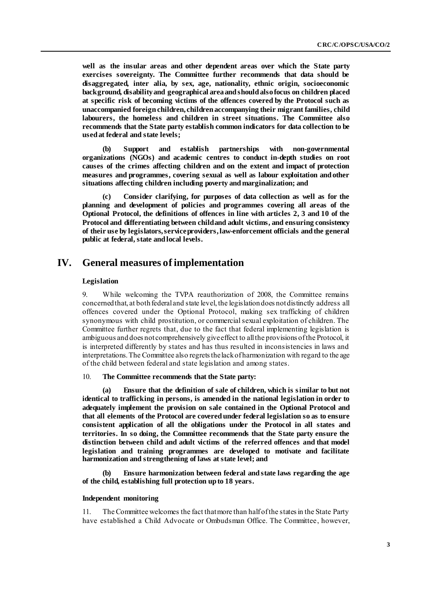**well as the insular areas and other dependent areas over which the State party exercises sovereignty. The Committee further recommends that data should be disaggregated, inter alia, by sex, age, nationality, ethnic origin, socioeconomic background, disability and geographical area and should also focus on children placed at specific risk of becoming victims of the offences covered by the Protocol such as unaccompanied foreign children, children accompanying their migrant families, child labourers, the homeless and children in street situations. The Committee also recommends that the State party establish common indicators for data collection to be used at federal and state levels;**

**(b) Support and establish partnerships with non-governmental organizations (NGOs) and academic centres to conduct in-depth studies on root causes of the crimes affecting children and on the extent and impact of protection measures and programmes, covering sexual as well as labour exploitation and other situations affecting children including poverty and marginalization; and**

**(c) Consider clarifying, for purposes of data collection as well as for the planning and development of policies and programmes covering all areas of the Optional Protocol, the definitions of offences in line with articles 2, 3 and 10 of the Protocol and differentiating between child and adult victims, and ensuring consistency of their use by legislators, service providers, law-enforcement officials and the general public at federal, state and local levels.**

# **IV. General measures of implementation**

### **Legislation**

9. While welcoming the TVPA reauthorization of 2008, the Committee remains concerned that, at both federal and state level, the legislation does not distinctly address all offences covered under the Optional Protocol, making sex trafficking of children synonymous with child prostitution, or commercial sexual exploitation of children. The Committee further regrets that, due to the fact that federal implementing legislation is ambiguous and does not comprehensively give effect to all the provisions of the Protocol, it is interpreted differently by states and has thus resulted in inconsistencies in laws and interpretations. The Committee also regrets the lack of harmonization with regard to the age of the child between federal and state legislation and among states.

# 10. **The Committee recommends that the State party:**

**(a) Ensure that the definition of sale of children, which is similar to but not identical to trafficking in persons, is amended in the national legislation in order to adequately implement the provision on sale contained in the Optional Protocol and that all elements of the Protocol are covered under federal legislation so as to ensure consistent application of all the obligations under the Protocol in all states and territories. In so doing, the Committee recommends that the State party ensure the distinction between child and adult victims of the referred offences and that model legislation and training programmes are developed to motivate and facilitate harmonization and strengthening of laws at state level; and**

**(b) Ensure harmonization between federal and state laws regarding the age of the child, establishing full protection up to 18 years.**

### **Independent monitoring**

11. The Committee welcomes the fact that more than half of the states in the State Party have established a Child Advocate or Ombudsman Office. The Committee, however,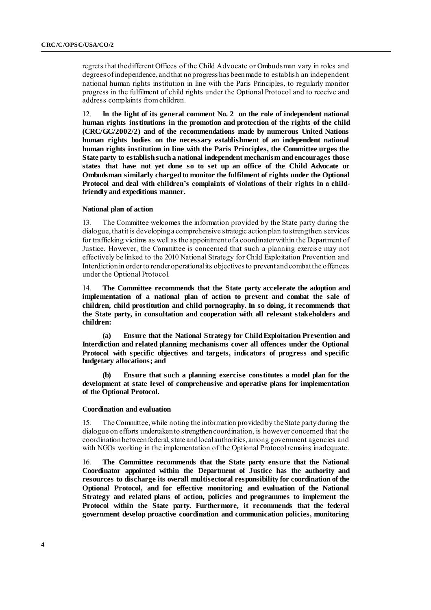regrets that the different Offices of the Child Advocate or Ombudsman vary in roles and degrees of independence, and that no progress has been made to establish an independent national human rights institution in line with the Paris Principles, to regularly monitor progress in the fulfilment of child rights under the Optional Protocol and to receive and address complaints from children.

12. **In the light of its general comment No. 2 on the role of independent national human rights institutions in the promotion and protection of the rights of the child (CRC/GC/2002/2) and of the recommendations made by numerous United Nations human rights bodies on the necessary establishment of an independent national human rights institution in line with the Paris Principles, the Committee urges the State party to establish such a national independent mechanism and encourages those states that have not yet done so to set up an office of the Child Advocate or Ombudsman similarly charged to monitor the fulfilment of rights under the Optional Protocol and deal with children's complaints of violations of their rights in a childfriendly and expeditious manner.**

#### **National plan of action**

13. The Committee welcomes the information provided by the State party during the dialogue, that it is developing a comprehensive strategic action plan to strengthen services for trafficking victims as well as the appointment of a coordinator within the Department of Justice. However, the Committee is concerned that such a planning exercise may not effectively be linked to the 2010 National Strategy for Child Exploitation Prevention and Interdiction in order to render operational its objectives to prevent and combat the offences under the Optional Protocol.

14. **The Committee recommends that the State party accelerate the adoption and implementation of a national plan of action to prevent and combat the sale of children, child prostitution and child pornography. In so doing, it recommends that the State party, in consultation and cooperation with all relevant stakeholders and children:**

**(a) Ensure that the National Strategy for Child Exploitation Prevention and Interdiction and related planning mechanisms cover all offences under the Optional Protocol with specific objectives and targets, indicators of progress and specific budgetary allocations; and** 

**(b) Ensure that such a planning exercise constitutes a model plan for the development at state level of comprehensive and operative plans for implementation of the Optional Protocol.** 

#### **Coordination and evaluation**

15. The Committee, while noting the information provided by the State party during the dialogue on efforts undertaken to strengthen coordination, is however concerned that the coordination between federal, state and local authorities, among government agencies and with NGOs working in the implementation of the Optional Protocol remains inadequate.

16. **The Committee recommends that the State party ensure that the National Coordinator appointed within the Department of Justice has the authority and resources to discharge its overall multisectoral responsibility for coordination of the Optional Protocol, and for effective monitoring and evaluation of the National Strategy and related plans of action, policies and programmes to implement the Protocol within the State party. Furthermore, it recommends that the federal government develop proactive coordination and communication policies, monitoring**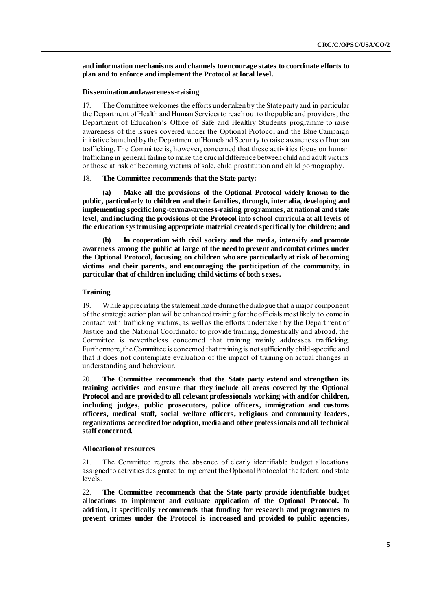**and information mechanisms and channels to encourage states to coordinate efforts to plan and to enforce and implement the Protocol at local level.**

### **Dissemination and awareness-raising**

17. The Committee welcomes the efforts undertaken by the State party and in particular the Department of Health and Human Services to reach out to the public and providers, the Department of Education's Office of Safe and Healthy Students programme to raise awareness of the issues covered under the Optional Protocol and the Blue Campaign initiative launched by the Department of Homeland Security to raise awareness of human trafficking. The Committee is, however, concerned that these activities focus on human trafficking in general, failing to make the crucial difference between child and adult victims or those at risk of becoming victims of sale, child prostitution and child pornography.

#### 18. **The Committee recommends that the State party:**

**(a) Make all the provisions of the Optional Protocol widely known to the public, particularly to children and their families, through, inter alia, developing and implementing specific long-term awareness-raising programmes, at national and state level, and including the provisions of the Protocol into school curricula at all levels of the education system using appropriate material created specifically for children; and** 

**(b) In cooperation with civil society and the media, intensify and promote awareness among the public at large of the need to prevent and combat crimes under the Optional Protocol, focusing on children who are particularly at risk of becoming victims and their parents, and encouraging the participation of the community, in particular that of children including child victims of both sexes.**

## **Training**

19. While appreciating the statement made during the dialogue that a major component of the strategic action plan will be enhanced training for the officials most likely to come in contact with trafficking victims, as well as the efforts undertaken by the Department of Justice and the National Coordinator to provide training, domestically and abroad, the Committee is nevertheless concerned that training mainly addresses trafficking. Furthermore, the Committee is concerned that training is not sufficiently child-specific and that it does not contemplate evaluation of the impact of training on actual changes in understanding and behaviour.

20. **The Committee recommends that the State party extend and strengthen its training activities and ensure that they include all areas covered by the Optional Protocol and are provided to all relevant professionals working with and for children, including judges, public prosecutors, police officers, immigration and customs officers, medical staff, social welfare officers, religious and community leaders, organizations accredited for adoption, media and other professionals and all technical staff concerned.** 

### **Allocation of resources**

21. The Committee regrets the absence of clearly identifiable budget allocations assigned to activities designated to implement the Optional Protocol at the federal and state levels.

22. **The Committee recommends that the State party provide identifiable budget allocations to implement and evaluate application of the Optional Protocol. In addition, it specifically recommends that funding for research and programmes to prevent crimes under the Protocol is increased and provided to public agencies,**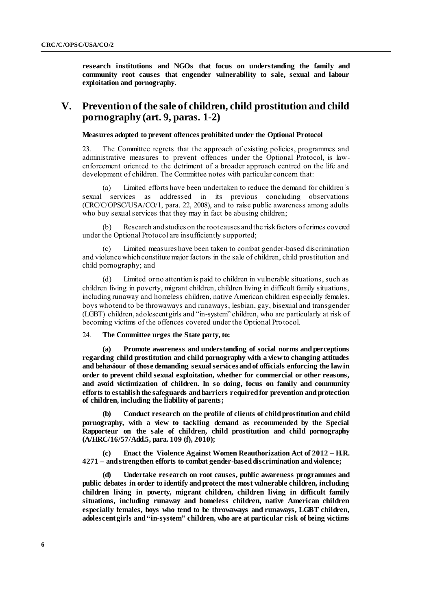**research institutions and NGOs that focus on understanding the family and community root causes that engender vulnerability to sale, sexual and labour exploitation and pornography.**

# **V. Prevention of the sale of children, child prostitution and child pornography (art. 9, paras. 1-2)**

**Measures adopted to prevent offences prohibited under the Optional Protocol**

23. The Committee regrets that the approach of existing policies, programmes and administrative measures to prevent offences under the Optional Protocol, is lawenforcement oriented to the detriment of a broader approach centred on the life and development of children. The Committee notes with particular concern that:

(a) Limited efforts have been undertaken to reduce the demand for children's sexual services as addressed in its previous concluding observations as addressed in its previous concluding observations (CRC/C/OPSC/USA/CO/1, para. 22, 2008), and to raise public awareness among adults who buy sexual services that they may in fact be abusing children;

Research and studies on the root causes and the risk factors of crimes covered under the Optional Protocol are insufficiently supported;

(c) Limited measures have been taken to combat gender-based discrimination and violence which constitute major factors in the sale of children, child prostitution and child pornography; and

(d) Limited or no attention is paid to children in vulnerable situations, such as children living in poverty, migrant children, children living in difficult family situations, including runaway and homeless children, native American children especially females, boys who tend to be throwaways and runaways, lesbian, gay, bisexual and transgender (LGBT) children, adolescent girls and "in-system" children, who are particularly at risk of becoming victims of the offences covered under the Optional Protocol.

## 24. **The Committee urges the State party, to:**

**(a) Promote awareness and understanding of social norms and perceptions regarding child prostitution and child pornography with a view to changing attitudes and behaviour of those demanding sexual services and of officials enforcing the law in order to prevent child sexual exploitation, whether for commercial or other reasons, and avoid victimization of children. In so doing, focus on family and community efforts to establish the safeguards and barriers required for prevention and protection of children, including the liability of parents;**

**(b) Conduct research on the profile of clients of child prostitution and child pornography, with a view to tackling demand as recommended by the Special Rapporteur on the sale of children, child prostitution and child pornography (A/HRC/16/57/Add.5, para. 109 (f), 2010);**

**(c) Enact the Violence Against Women Reauthorization Act of 2012 – H.R. 4271 – and strengthen efforts to combat gender-based discrimination and violence;** 

**(d) Undertake research on root causes, public awareness programmes and public debates in order to identify and protect the most vulnerable children, including children living in poverty, migrant children, children living in difficult family situations, including runaway and homeless children, native American children especially females, boys who tend to be throwaways and runaways, LGBT children, adolescent girls and "in-system" children, who are at particular risk of being victims**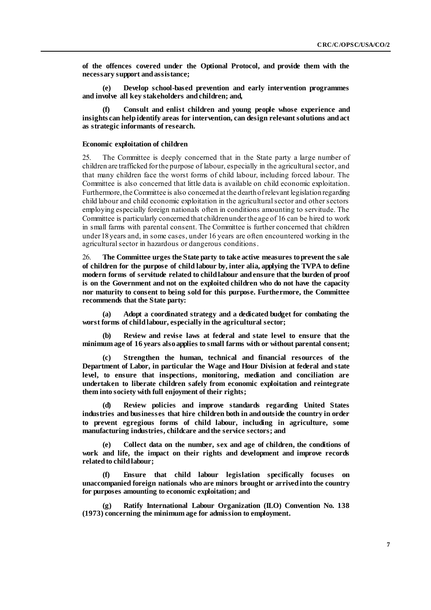**of the offences covered under the Optional Protocol, and provide them with the necessary support and assistance;**

**(e) Develop school-based prevention and early intervention programmes and involve all key stakeholders and children; and,**

**(f) Consult and enlist children and young people whose experience and insights can help identify areas for intervention, can design relevant solutions and act as strategic informants of research.**

### **Economic exploitation of children**

25. The Committee is deeply concerned that in the State party a large number of children are trafficked for the purpose of labour, especially in the agricultural sector, and that many children face the worst forms of child labour, including forced labour. The Committee is also concerned that little data is available on child economic exploitation. Furthermore, the Committee is also concernedat the dearth of relevant legislation regarding child labour and child economic exploitation in the agricultural sector and other sectors employing especially foreign nationals often in conditions amounting to servitude. The Committee is particularly concerned that children under the age of 16 can be hired to work in small farms with parental consent. The Committee is further concerned that children under 18 years and, in some cases, under 16 years are often encountered working in the agricultural sector in hazardous or dangerous conditions.

26. **The Committee urges the State party to take active measures to prevent the sale of children for the purpose of child labour by, inter alia, applying the TVPA to define modern forms of servitude related to child labour and ensure that the burden of proof is on the Government and not on the exploited children who do not have the capacity nor maturity to consent to being sold for this purpose. Furthermore, the Committee recommends that the State party:**

**(a) Adopt a coordinated strategy and a dedicated budget for combating the worst forms of child labour, especially in the agricultural sector;** 

**(b) Review and revise laws at federal and state level to ensure that the minimum age of 16 years also applies to small farms with or without parental consent;**

**(c) Strengthen the human, technical and financial resources of the Department of Labor, in particular the Wage and Hour Division at federal and state level, to ensure that inspections, monitoring, mediation and conciliation are undertaken to liberate children safely from economic exploitation and reintegrate them into society with full enjoyment of their rights;** 

**(d) Review policies and improve standards regarding United States industries and businesses that hire children both in and outside the country in order to prevent egregious forms of child labour, including in agriculture, some manufacturing industries, childcare and the service sectors; and**

**(e) Collect data on the number, sex and age of children, the conditions of work and life, the impact on their rights and development and improve records related to child labour;**

**(f) Ensure that child labour legislation specifically focuses on unaccompanied foreign nationals who are minors brought or arrived into the country for purposes amounting to economic exploitation; and**

**(g) Ratify International Labour Organization (ILO) Convention No. 138 (1973) concerning the minimum age for admission to employment.**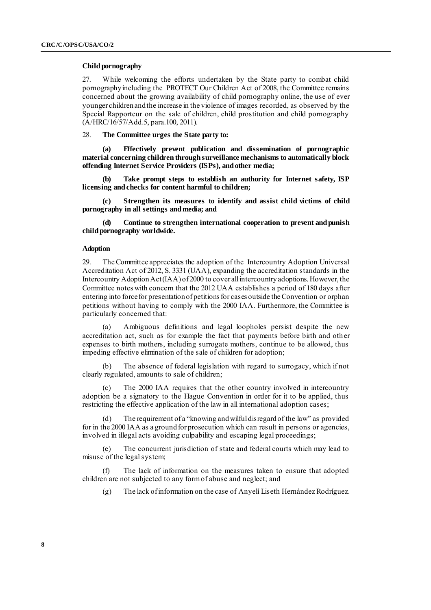#### **Child pornography**

27. While welcoming the efforts undertaken by the State party to combat child pornography including the PROTECT Our Children Act of 2008, the Committee remains concerned about the growing availability of child pornography online, the use of ever younger children and the increase in the violence of images recorded, as observed by the Special Rapporteur on the sale of children, child prostitution and child pornography (A/HRC/16/57/Add.5, para.100, 2011).

# 28. **The Committee urges the State party to:**

**(a) Effectively prevent publication and dissemination of pornographic material concerning children through surveillance mechanisms to automatically block offending Internet Service Providers (ISPs), and other media;**

**(b) Take prompt steps to establish an authority for Internet safety, ISP licensing and checks for content harmful to children;**

**(c) Strengthen its measures to identify and assist child victims of child pornography in all settings and media; and**

**(d) Continue to strengthen international cooperation to prevent and punish child pornography worldwide.**

### **Adoption**

29. The Committee appreciates the adoption of the Intercountry Adoption Universal Accreditation Act of 2012, S. 3331 (UAA), expanding the accreditation standards in the Intercountry Adoption Act (IAA) of 2000 to cover all intercountry adoptions. However, the Committee notes with concern that the 2012 UAA establishes a period of 180 days after entering into force for presentation of petitions for cases outside the Convention or orphan petitions without having to comply with the 2000 IAA. Furthermore, the Committee is particularly concerned that:

(a) Ambiguous definitions and legal loopholes persist despite the new accreditation act, such as for example the fact that payments before birth and oth er expenses to birth mothers, including surrogate mothers, continue to be allowed, thus impeding effective elimination of the sale of children for adoption;

(b) The absence of federal legislation with regard to surrogacy, which if not clearly regulated, amounts to sale of children;

The 2000 IAA requires that the other country involved in intercountry adoption be a signatory to the Hague Convention in order for it to be applied, thus restricting the effective application of the law in all international adoption cases;

The requirement of a "knowing and wilful disregard of the law" as provided for in the 2000 IAA as a ground for prosecution which can result in persons or agencies, involved in illegal acts avoiding culpability and escaping legal proceedings;

(e) The concurrent jurisdiction of state and federal courts which may lead to misuse of the legal system;

(f) The lack of information on the measures taken to ensure that adopted children are not subjected to any form of abuse and neglect; and

(g) The lack of information on the case of Anyelí Liseth Hernández Rodríguez.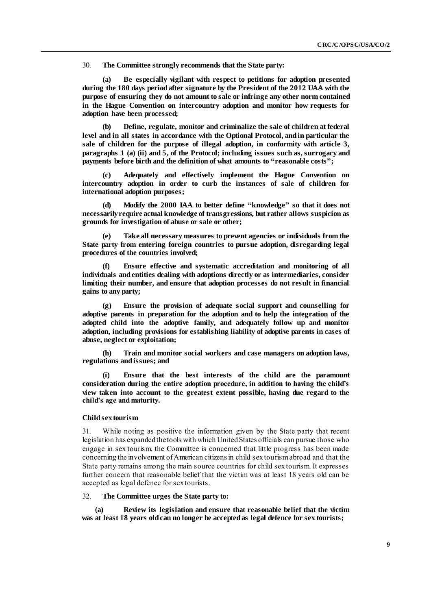30. **The Committee strongly recommends that the State party:**

**(a) Be especially vigilant with respect to petitions for adoption presented during the 180 days period after signature by the President of the 2012 UAA with the purpose of ensuring they do not amount to sale or infringe any other norm contained in the Hague Convention on intercountry adoption and monitor how requests for adoption have been processed;**

**(b) Define, regulate, monitor and criminalize the sale of children at federal level and in all states in accordance with the Optional Protocol, and in particular the sale of children for the purpose of illegal adoption, in conformity with article 3, paragraphs 1 (a) (ii) and 5, of the Protocol; including issues such as, surrogacy and payments before birth and the definition of what amounts to "reasonable costs";**

**(c) Adequately and effectively implement the Hague Convention on intercountry adoption in order to curb the instances of sale of children for international adoption purposes;**

**(d) Modify the 2000 IAA to better define "knowledge" so that it does not necessarily require actual knowledge of transgressions, but rather allows suspicion as grounds for investigation of abuse or sale or other;** 

**(e) Take all necessary measures to prevent agencies or individuals from the State party from entering foreign countries to pursue adoption, disregarding legal procedures of the countries involved;**

**(f) Ensure effective and systematic accreditation and monitoring of all individuals and entities dealing with adoptions directly or as intermediaries, consider limiting their number, and ensure that adoption processes do not result in financial gains to any party;** 

**(g) Ensure the provision of adequate social support and counselling for adoptive parents in preparation for the adoption and to help the integration of the adopted child into the adoptive family, and adequately follow up and monitor adoption, including provisions for establishing liability of adoptive parents in cases of abuse, neglect or exploitation;**

**(h) Train and monitor social workers and case managers on adoption laws, regulations and issues; and**

**(i) Ensure that the best interests of the child are the paramount consideration during the entire adoption procedure, in addition to having the child's view taken into account to the greatest extent possible, having due regard to the child's age and maturity.** 

#### **Child sex tourism**

31. While noting as positive the information given by the State party that recent legislation has expanded the tools with which United States officials can pursue those who engage in sex tourism, the Committee is concerned that little progress has been made concerning the involvement of American citizens in child sex tourism abroad and that the State party remains among the main source countries for child sex tourism. It expresses further concern that reasonable belief that the victim was at least 18 years old can be accepted as legal defence for sex tourists.

## 32. **The Committee urges the State party to:**

**(a) Review its legislation and ensure that reasonable belief that the victim was at least 18 years old can no longer be accepted as legal defence for sex tourists;**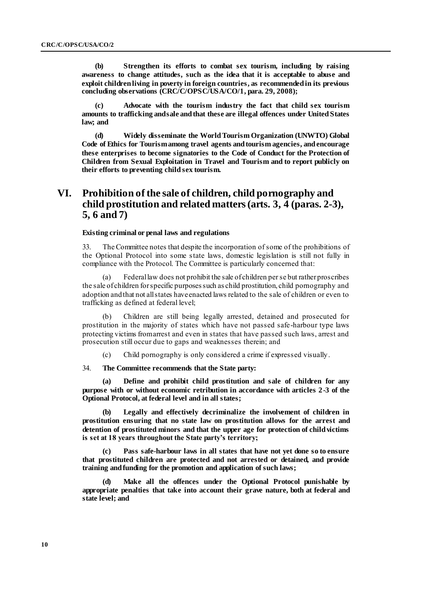**(b) Strengthen its efforts to combat sex tourism, including by raising awareness to change attitudes, such as the idea that it is acceptable to abuse and exploit children living in poverty in foreign countries, as recommended in its previous concluding observations (CRC/C/OPSC/USA/CO/1, para. 29, 2008);**

**(c) Advocate with the tourism industry the fact that child sex tourism amounts to trafficking and sale and that these are illegal offences under United States law; and**

**(d) Widely disseminate the World Tourism Organization (UNWTO) Global Code of Ethics for Tourism among travel agents and tourism agencies, and encourage these enterprises to become signatories to the Code of Conduct for the Protection of Children from Sexual Exploitation in Travel and Tourism and to report publicly on their efforts to preventing child sex tourism.**

# **VI. Prohibition of the sale of children, child pornography and child prostitution and related matters (arts. 3, 4 (paras. 2-3), 5, 6 and 7)**

### **Existing criminal or penal laws and regulations**

33. The Committee notes that despite the incorporation of some of the prohibitions of the Optional Protocol into some state laws, domestic legislation is still not fully in compliance with the Protocol. The Committee is particularly concerned that:

(a) Federal law does not prohibit the sale of children per se but rather proscribes the sale of children for specific purposes such as child prostitution, child pornography and adoption and that not all states have enacted laws related to the sale of children or even to trafficking as defined at federal level;

(b) Children are still being legally arrested, detained and prosecuted for prostitution in the majority of states which have not passed safe-harbour type laws protecting victims from arrest and even in states that have passed such laws, arrest and prosecution still occur due to gaps and weaknesses therein; and

(c) Child pornography is only considered a crime if expressed visually.

### 34. **The Committee recommends that the State party:**

**(a) Define and prohibit child prostitution and sale of children for any purpose with or without economic retribution in accordance with articles 2-3 of the Optional Protocol, at federal level and in all states;**

**(b) Legally and effectively decriminalize the involvement of children in prostitution ensuring that no state law on prostitution allows for the arrest and detention of prostituted minors and that the upper age for protection of child victims is set at 18 years throughout the State party's territory;**

**(c) Pass safe-harbour laws in all states that have not yet done so to ensure that prostituted children are protected and not arrested or detained, and provide training and funding for the promotion and application of such laws;**

**(d) Make all the offences under the Optional Protocol punishable by appropriate penalties that take into account their grave nature, both at federal and state level; and**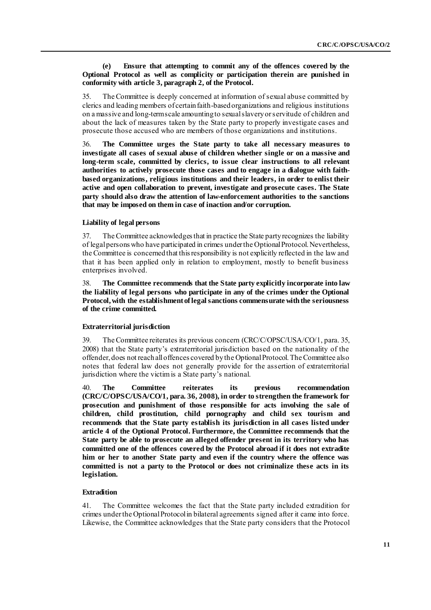### **(e) Ensure that attempting to commit any of the offences covered by the Optional Protocol as well as complicity or participation therein are punished in conformity with article 3, paragraph 2, of the Protocol.**

35. The Committee is deeply concerned at information of sexual abuse committed by clerics and leading members of certain faith-based organizations and religious institutions on a massive and long-term scale amounting to sexual slavery or servitude of children and about the lack of measures taken by the State party to properly investigate cases and prosecute those accused who are members of those organizations and institutions.

36. **The Committee urges the State party to take all necessary measures to investigate all cases of sexual abuse of children whether single or on a massive and long-term scale, committed by clerics, to issue clear instructions to all relevant authorities to actively prosecute those cases and to engage in a dialogue with faithbased organizations, religious institutions and their leaders, in order to enlist their active and open collaboration to prevent, investigate and prosecute cases. The State party should also draw the attention of law-enforcement authorities to the sanctions that may be imposed on them in case of inaction and/or corruption.**

# **Liability of legal persons**

The Committee acknowledges that in practice the State party recognizes the liability of legal persons who have participated in crimes under the Optional Protocol. Nevertheless, the Committee is concerned that this responsibility is not explicitly reflected in the law and that it has been applied only in relation to employment, mostly to benefit business enterprises involved.

38. **The Committee recommends that the State party explicitly incorporate into law the liability of legal persons who participate in any of the crimes under the Optional Protocol, with the establishment of legal sanctions commensurate with the seriousness of the crime committed.**

# **Extraterritorial jurisdiction**

39. The Committee reiterates its previous concern (CRC/C/OPSC/USA/CO/1, para. 35, 2008) that the State party's extraterritorial jurisdiction based on the nationality of the offender, does not reach all offences covered by the Optional Protocol. The Committee also notes that federal law does not generally provide for the assertion of extraterritorial jurisdiction where the victim is a State party's national.

40. **The Committee reiterates its previous recommendation (CRC/C/OPSC/USA/CO/1, para. 36, 2008), in order to strengthen the framework for prosecution and punishment of those responsible for acts involving the sale of children, child prostitution, child pornography and child sex tourism and recommends that the State party establish its jurisdiction in all cases listed under article 4 of the Optional Protocol. Furthermore, the Committee recommends that the State party be able to prosecute an alleged offender present in its territory who has committed one of the offences covered by the Protocol abroad if it does not extradite him or her to another State party and even if the country where the offence was committed is not a party to the Protocol or does not criminalize these acts in its legislation.**

# **Extradition**

41. The Committee welcomes the fact that the State party included extradition for crimes under the Optional Protocol in bilateral agreements signed after it came into force. Likewise, the Committee acknowledges that the State party considers that the Protocol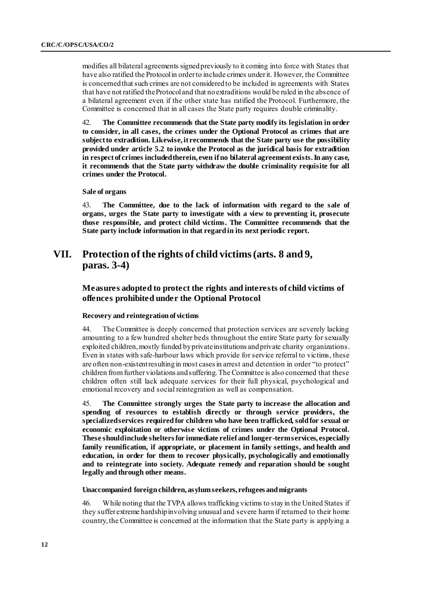modifies all bilateral agreements signed previously to it coming into force with States that have also ratified the Protocol in order to include crimes under it. However, the Committee is concerned that such crimes are not considered to be included in agreements with States that have not ratified the Protocol and that no extraditions would be ruled in the absence of a bilateral agreement even if the other state has ratified the Protocol. Furthermore, the Committee is concerned that in all cases the State party requires double criminality.

42. **The Committee recommends that the State party modify its legislation in order to consider, in all cases, the crimes under the Optional Protocol as crimes that are subject to extradition. Likewise, it recommends that the State party use the possibility provided under article 5.2 to invoke the Protocol as the juridical basis for extradition in respect of crimes included therein, even if no bilateral agreement exists. In any case, it recommends that the State party withdraw the double criminality requisite for all crimes under the Protocol.**

### **Sale of organs**

43. **The Committee, due to the lack of information with regard to the sale of organs, urges the State party to investigate with a view to preventing it, prosecute those responsible, and protect child victims. The Committee recommends that the State party include information in that regard in its next periodic report.** 

# **VII. Protection of the rights of child victims (arts. 8 and 9, paras. 3-4)**

# **Measures adopted to protect the rights and interests of child victims of offences prohibited under the Optional Protocol**

### **Recovery and reintegration of victims**

44. The Committee is deeply concerned that protection services are severely lacking amounting to a few hundred shelter beds throughout the entire State party for sexually exploited children, mostly funded by private institutions and private charity organizations. Even in states with safe-harbour laws which provide for service referral to victims, these are often non-existentresulting in most cases in arrest and detention in order "to protect" children from further violations and suffering. The Committee is also concerned that these children often still lack adequate services for their full physical, psychological and emotional recovery and social reintegration as well as compensation.

45. **The Committee strongly urges the State party to increase the allocation and spending of resources to establish directly or through service providers, the specialized services required for children who have been trafficked, sold for sexual or economic exploitation or otherwise victims of crimes under the Optional Protocol. These should include shelters for immediate relief and longer-term services, especially family reunification, if appropriate, or placement in family settings, and health and education, in order for them to recover physically, psychologically and emotionally and to reintegrate into society. Adequate remedy and reparation should be sought legally and through other means.**

### **Unaccompanied foreign children, asylumseekers, refugees and migrants**

46. While noting that the TVPA allows trafficking victims to stay in the United States if they suffer extreme hardship involving unusual and severe harm if returned to their home country, the Committee is concerned at the information that the State party is applying a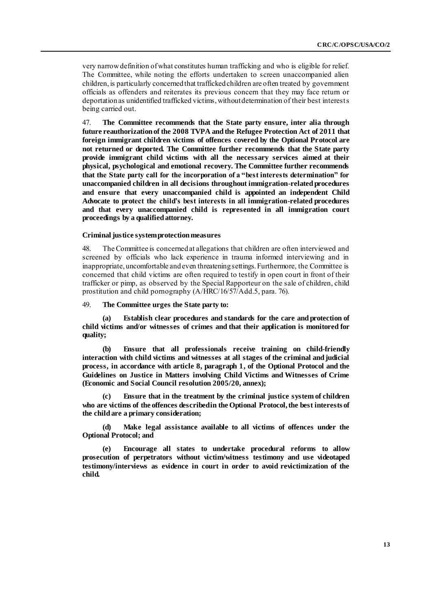very narrow definition of what constitutes human trafficking and who is eligible for relief. The Committee, while noting the efforts undertaken to screen unaccompanied alien children, is particularly concerned that trafficked children are often treated by government officials as offenders and reiterates its previous concern that they may face return or deportation as unidentified trafficked victims, without determination of their best interests being carried out.

47. **The Committee recommends that the State party ensure, inter alia through future reauthorization of the 2008 TVPA and the Refugee Protection Act of 2011 that foreign immigrant children victims of offences covered by the Optional Protocol are not returned or deported. The Committee further recommends that the State party provide immigrant child victims with all the necessary services aimed at their physical, psychological and emotional recovery. The Committee further recommends that the State party call for the incorporation of a "best interests determination" for unaccompanied children in all decisions throughout immigration-related procedures and ensure that every unaccompanied child is appointed an independent Child Advocate to protect the child's best interests in all immigration-related procedures and that every unaccompanied child is represented in all immigration court proceedings by a qualified attorney.**

#### **Criminal justice system protection measures**

48. The Committee is concerned at allegations that children are often interviewed and screened by officials who lack experience in trauma informed interviewing and in inappropriate, uncomfortable and even threatening settings. Furthermore, the Committee is concerned that child victims are often required to testify in open court in front of their trafficker or pimp, as observed by the Special Rapporteur on the sale of children, child prostitution and child pornography (A/HRC/16/57/Add.5, para. 76).

49. **The Committee urges the State party to:**

**(a) Establish clear procedures and standards for the care and protection of child victims and/or witnesses of crimes and that their application is monitored for quality;**

**(b) Ensure that all professionals receive training on child-friendly interaction with child victims and witnesses at all stages of the criminal and judicial process, in accordance with article 8, paragraph 1, of the Optional Protocol and the Guidelines on Justice in Matters involving Child Victims and Witnesses of Crime (Economic and Social Council resolution 2005/20, annex);**

**(c) Ensure that in the treatment by the criminal justice system of children**  who are victims of the offences described in the Optional Protocol, the best interests of **the child are a primary consideration;**

**(d) Make legal assistance available to all victims of offences under the Optional Protocol; and**

**(e) Encourage all states to undertake procedural reforms to allow prosecution of perpetrators without victim/witness testimony and use videotaped testimony/interviews as evidence in court in order to avoid revictimization of the child.**